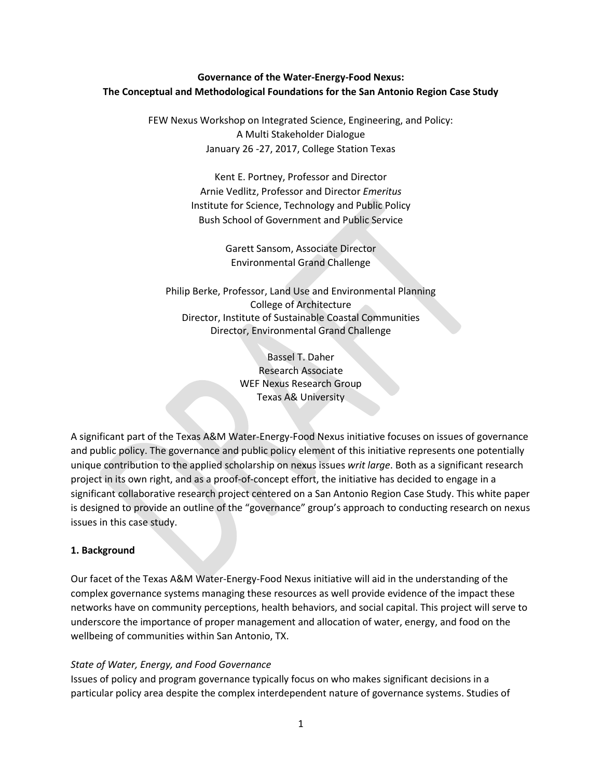# **Governance of the Water-Energy-Food Nexus: The Conceptual and Methodological Foundations for the San Antonio Region Case Study**

FEW Nexus Workshop on Integrated Science, Engineering, and Policy: A Multi Stakeholder Dialogue January 26 -27, 2017, College Station Texas

> Kent E. Portney, Professor and Director Arnie Vedlitz, Professor and Director *Emeritus* Institute for Science, Technology and Public Policy Bush School of Government and Public Service

> > Garett Sansom, Associate Director Environmental Grand Challenge

Philip Berke, Professor, Land Use and Environmental Planning College of Architecture Director, Institute of Sustainable Coastal Communities Director, Environmental Grand Challenge

> Bassel T. Daher Research Associate WEF Nexus Research Group Texas A& University

A significant part of the Texas A&M Water-Energy-Food Nexus initiative focuses on issues of governance and public policy. The governance and public policy element of this initiative represents one potentially unique contribution to the applied scholarship on nexus issues *writ large*. Both as a significant research project in its own right, and as a proof-of-concept effort, the initiative has decided to engage in a significant collaborative research project centered on a San Antonio Region Case Study. This white paper is designed to provide an outline of the "governance" group's approach to conducting research on nexus issues in this case study.

## **1. Background**

Our facet of the Texas A&M Water-Energy-Food Nexus initiative will aid in the understanding of the complex governance systems managing these resources as well provide evidence of the impact these networks have on community perceptions, health behaviors, and social capital. This project will serve to underscore the importance of proper management and allocation of water, energy, and food on the wellbeing of communities within San Antonio, TX.

#### *State of Water, Energy, and Food Governance*

Issues of policy and program governance typically focus on who makes significant decisions in a particular policy area despite the complex interdependent nature of governance systems. Studies of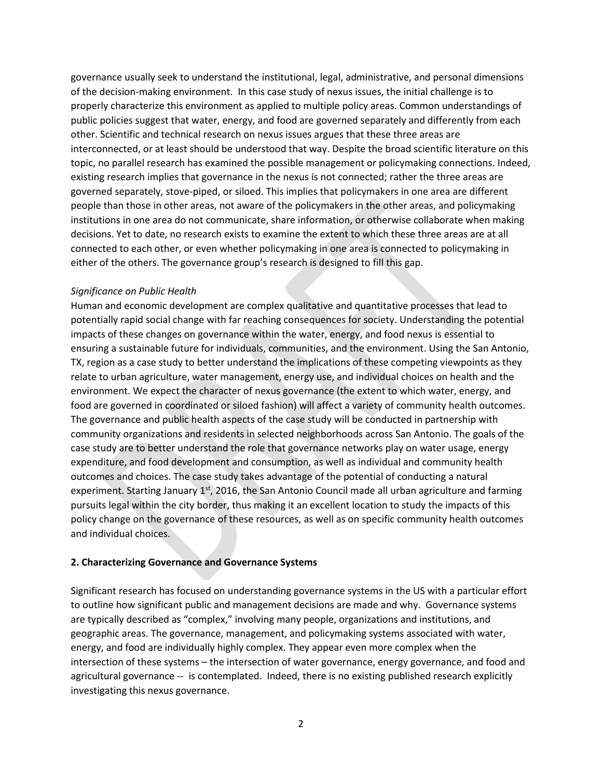governance usually seek to understand the institutional, legal, administrative, and personal dimensions of the decision-making environment. In this case study of nexus issues, the initial challenge is to properly characterize this environment as applied to multiple policy areas. Common understandings of public policies suggest that water, energy, and food are governed separately and differently from each other. Scientific and technical research on nexus issues argues that these three areas are interconnected, or at least should be understood that way. Despite the broad scientific literature on this topic, no parallel research has examined the possible management or policymaking connections. Indeed, existing research implies that governance in the nexus is not connected; rather the three areas are governed separately, stove-piped, or siloed. This implies that policymakers in one area are different people than those in other areas, not aware of the policymakers in the other areas, and policymaking institutions in one area do not communicate, share information, or otherwise collaborate when making decisions. Yet to date, no research exists to examine the extent to which these three areas are at all connected to each other, or even whether policymaking in one area is connected to policymaking in either of the others. The governance group's research is designed to fill this gap.

### *Significance on Public Health*

Human and economic development are complex qualitative and quantitative processes that lead to potentially rapid social change with far reaching consequences for society. Understanding the potential impacts of these changes on governance within the water, energy, and food nexus is essential to ensuring a sustainable future for individuals, communities, and the environment. Using the San Antonio, TX, region as a case study to better understand the implications of these competing viewpoints as they relate to urban agriculture, water management, energy use, and individual choices on health and the environment. We expect the character of nexus governance (the extent to which water, energy, and food are governed in coordinated or siloed fashion) will affect a variety of community health outcomes. The governance and public health aspects of the case study will be conducted in partnership with community organizations and residents in selected neighborhoods across San Antonio. The goals of the case study are to better understand the role that governance networks play on water usage, energy expenditure, and food development and consumption, as well as individual and community health outcomes and choices. The case study takes advantage of the potential of conducting a natural experiment. Starting January  $1<sup>st</sup>$ , 2016, the San Antonio Council made all urban agriculture and farming pursuits legal within the city border, thus making it an excellent location to study the impacts of this policy change on the governance of these resources, as well as on specific community health outcomes and individual choices.

## **2. Characterizing Governance and Governance Systems**

Significant research has focused on understanding governance systems in the US with a particular effort to outline how significant public and management decisions are made and why. Governance systems are typically described as "complex," involving many people, organizations and institutions, and geographic areas. The governance, management, and policymaking systems associated with water, energy, and food are individually highly complex. They appear even more complex when the intersection of these systems – the intersection of water governance, energy governance, and food and agricultural governance -- is contemplated. Indeed, there is no existing published research explicitly investigating this nexus governance.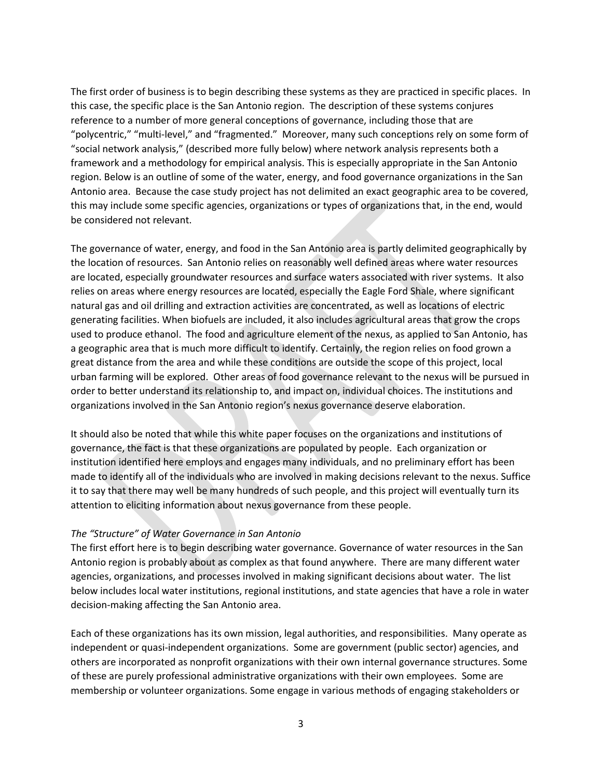The first order of business is to begin describing these systems as they are practiced in specific places. In this case, the specific place is the San Antonio region. The description of these systems conjures reference to a number of more general conceptions of governance, including those that are "polycentric," "multi-level," and "fragmented." Moreover, many such conceptions rely on some form of "social network analysis," (described more fully below) where network analysis represents both a framework and a methodology for empirical analysis. This is especially appropriate in the San Antonio region. Below is an outline of some of the water, energy, and food governance organizations in the San Antonio area. Because the case study project has not delimited an exact geographic area to be covered, this may include some specific agencies, organizations or types of organizations that, in the end, would be considered not relevant.

The governance of water, energy, and food in the San Antonio area is partly delimited geographically by the location of resources. San Antonio relies on reasonably well defined areas where water resources are located, especially groundwater resources and surface waters associated with river systems. It also relies on areas where energy resources are located, especially the Eagle Ford Shale, where significant natural gas and oil drilling and extraction activities are concentrated, as well as locations of electric generating facilities. When biofuels are included, it also includes agricultural areas that grow the crops used to produce ethanol. The food and agriculture element of the nexus, as applied to San Antonio, has a geographic area that is much more difficult to identify. Certainly, the region relies on food grown a great distance from the area and while these conditions are outside the scope of this project, local urban farming will be explored. Other areas of food governance relevant to the nexus will be pursued in order to better understand its relationship to, and impact on, individual choices. The institutions and organizations involved in the San Antonio region's nexus governance deserve elaboration.

It should also be noted that while this white paper focuses on the organizations and institutions of governance, the fact is that these organizations are populated by people. Each organization or institution identified here employs and engages many individuals, and no preliminary effort has been made to identify all of the individuals who are involved in making decisions relevant to the nexus. Suffice it to say that there may well be many hundreds of such people, and this project will eventually turn its attention to eliciting information about nexus governance from these people.

## *The "Structure" of Water Governance in San Antonio*

The first effort here is to begin describing water governance. Governance of water resources in the San Antonio region is probably about as complex as that found anywhere. There are many different water agencies, organizations, and processes involved in making significant decisions about water. The list below includes local water institutions, regional institutions, and state agencies that have a role in water decision-making affecting the San Antonio area.

Each of these organizations has its own mission, legal authorities, and responsibilities. Many operate as independent or quasi-independent organizations. Some are government (public sector) agencies, and others are incorporated as nonprofit organizations with their own internal governance structures. Some of these are purely professional administrative organizations with their own employees. Some are membership or volunteer organizations. Some engage in various methods of engaging stakeholders or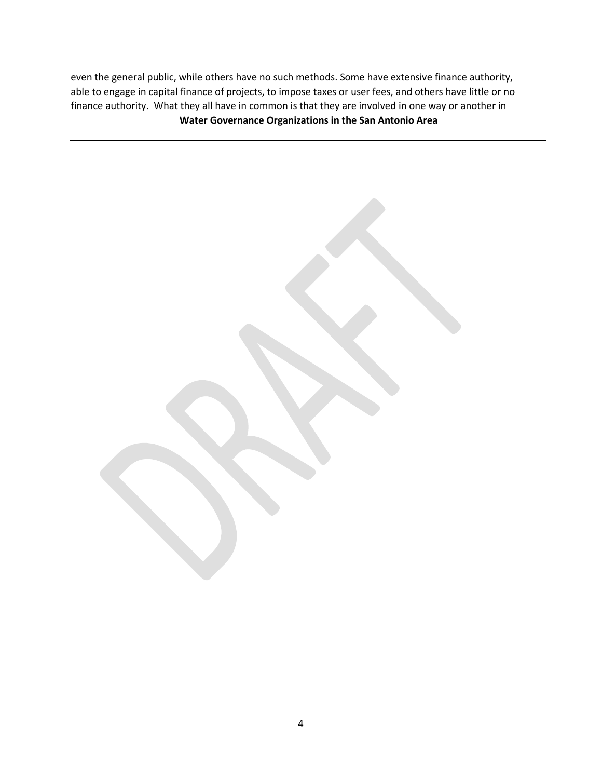even the general public, while others have no such methods. Some have extensive finance authority, able to engage in capital finance of projects, to impose taxes or user fees, and others have little or no finance authority. What they all have in common is that they are involved in one way or another in **Water Governance Organizations in the San Antonio Area**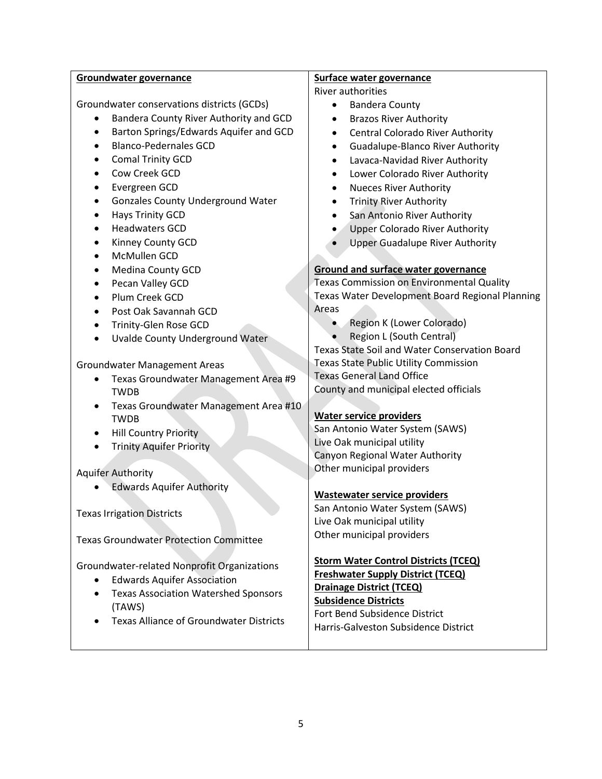### **Groundwater governance**

Groundwater conservations districts (GCDs)

- Bandera County River Authority and GCD
- Barton Springs/Edwards Aquifer and GCD
- Blanco-Pedernales GCD
- Comal Trinity GCD
- Cow Creek GCD
- Evergreen GCD
- Gonzales County Underground Water
- Hays Trinity GCD
- Headwaters GCD
- Kinney County GCD
- McMullen GCD
- Medina County GCD
- Pecan Valley GCD
- Plum Creek GCD
- Post Oak Savannah GCD
- Trinity-Glen Rose GCD
- Uvalde County Underground Water

## Groundwater Management Areas

- Texas Groundwater Management Area #9 TWDB
- Texas Groundwater Management Area #10 TWDB
- **•** Hill Country Priority
- **•** Trinity Aquifer Priority

Aquifer Authority

Edwards Aquifer Authority

Texas Irrigation Districts

Texas Groundwater Protection Committee

Groundwater-related Nonprofit Organizations

- Edwards Aquifer Association
- Texas Association Watershed Sponsors (TAWS)
- Texas Alliance of Groundwater Districts

### **Surface water governance**

### River authorities

- Bandera County
- **•** Brazos River Authority
- Central Colorado River Authority
- Guadalupe-Blanco River Authority
- Lavaca-Navidad River Authority
- Lower Colorado River Authority
- Nueces River Authority
- **•** Trinity River Authority
- San Antonio River Authority
- Upper Colorado River Authority
- Upper Guadalupe River Authority

## **Ground and surface water governance**

Texas Commission on Environmental Quality Texas Water Development Board Regional Planning Areas

- Region K (Lower Colorado)
- Region L (South Central)

Texas State Soil and Water Conservation Board Texas State Public Utility Commission Texas General Land Office County and municipal elected officials

## **Water service providers**

San Antonio Water System (SAWS) Live Oak municipal utility Canyon Regional Water Authority Other municipal providers

#### **Wastewater service providers**

San Antonio Water System (SAWS) Live Oak municipal utility Other municipal providers

## **Storm Water Control Districts (TCEQ)**

**Freshwater Supply District (TCEQ) Drainage District (TCEQ) Subsidence Districts** 

Fort Bend Subsidence District Harris-Galveston Subsidence District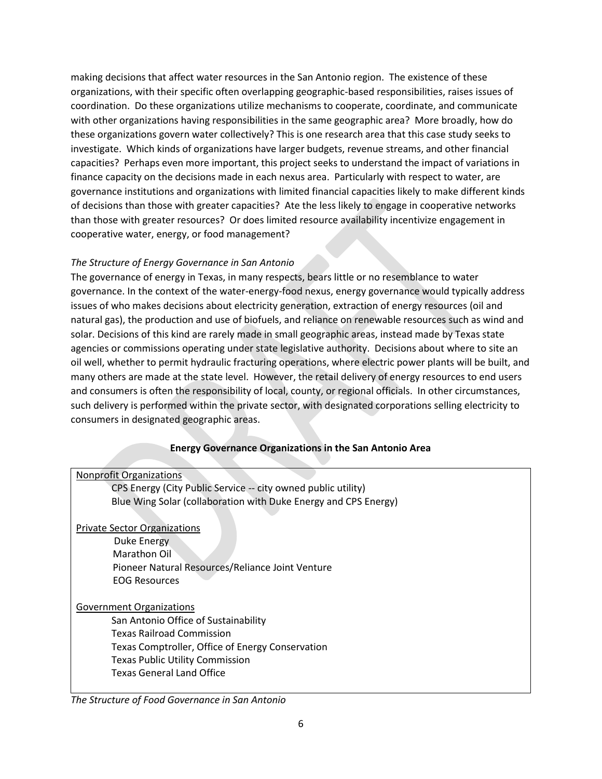making decisions that affect water resources in the San Antonio region. The existence of these organizations, with their specific often overlapping geographic-based responsibilities, raises issues of coordination. Do these organizations utilize mechanisms to cooperate, coordinate, and communicate with other organizations having responsibilities in the same geographic area? More broadly, how do these organizations govern water collectively? This is one research area that this case study seeks to investigate. Which kinds of organizations have larger budgets, revenue streams, and other financial capacities? Perhaps even more important, this project seeks to understand the impact of variations in finance capacity on the decisions made in each nexus area. Particularly with respect to water, are governance institutions and organizations with limited financial capacities likely to make different kinds of decisions than those with greater capacities? Ate the less likely to engage in cooperative networks than those with greater resources? Or does limited resource availability incentivize engagement in cooperative water, energy, or food management?

# *The Structure of Energy Governance in San Antonio*

The governance of energy in Texas, in many respects, bears little or no resemblance to water governance. In the context of the water-energy-food nexus, energy governance would typically address issues of who makes decisions about electricity generation, extraction of energy resources (oil and natural gas), the production and use of biofuels, and reliance on renewable resources such as wind and solar. Decisions of this kind are rarely made in small geographic areas, instead made by Texas state agencies or commissions operating under state legislative authority. Decisions about where to site an oil well, whether to permit hydraulic fracturing operations, where electric power plants will be built, and many others are made at the state level. However, the retail delivery of energy resources to end users and consumers is often the responsibility of local, county, or regional officials. In other circumstances, such delivery is performed within the private sector, with designated corporations selling electricity to consumers in designated geographic areas.

## **Energy Governance Organizations in the San Antonio Area**

| <b>Nonprofit Organizations</b>                                  |
|-----------------------------------------------------------------|
| CPS Energy (City Public Service -- city owned public utility)   |
| Blue Wing Solar (collaboration with Duke Energy and CPS Energy) |
|                                                                 |
| <b>Private Sector Organizations</b>                             |
| Duke Energy                                                     |
| Marathon Oil                                                    |
| Pioneer Natural Resources/Reliance Joint Venture                |
| <b>EOG Resources</b>                                            |
|                                                                 |
| <b>Government Organizations</b>                                 |
| San Antonio Office of Sustainability                            |
| Texas Railroad Commission                                       |
| Texas Comptroller, Office of Energy Conservation                |
| <b>Texas Public Utility Commission</b>                          |
| <b>Texas General Land Office</b>                                |
|                                                                 |
|                                                                 |

## *The Structure of Food Governance in San Antonio*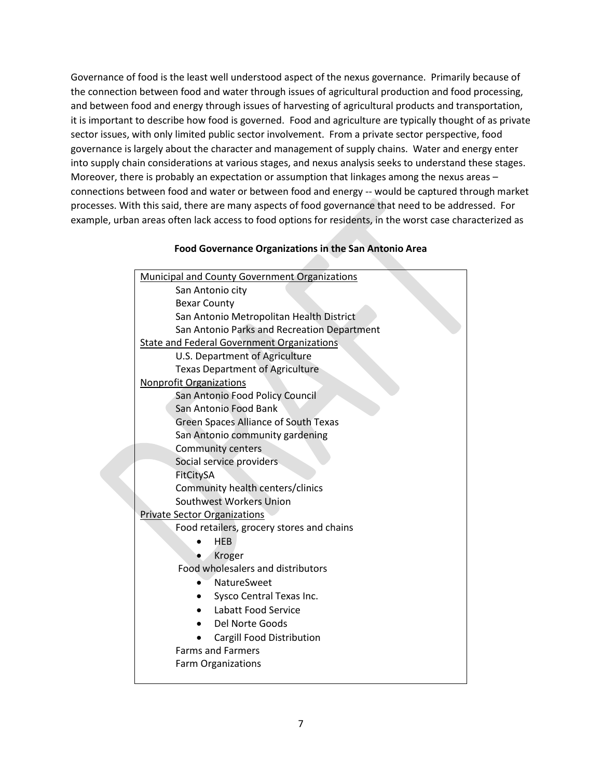Governance of food is the least well understood aspect of the nexus governance. Primarily because of the connection between food and water through issues of agricultural production and food processing, and between food and energy through issues of harvesting of agricultural products and transportation, it is important to describe how food is governed. Food and agriculture are typically thought of as private sector issues, with only limited public sector involvement. From a private sector perspective, food governance is largely about the character and management of supply chains. Water and energy enter into supply chain considerations at various stages, and nexus analysis seeks to understand these stages. Moreover, there is probably an expectation or assumption that linkages among the nexus areas connections between food and water or between food and energy -- would be captured through market processes. With this said, there are many aspects of food governance that need to be addressed. For example, urban areas often lack access to food options for residents, in the worst case characterized as

### **Food Governance Organizations in the San Antonio Area**

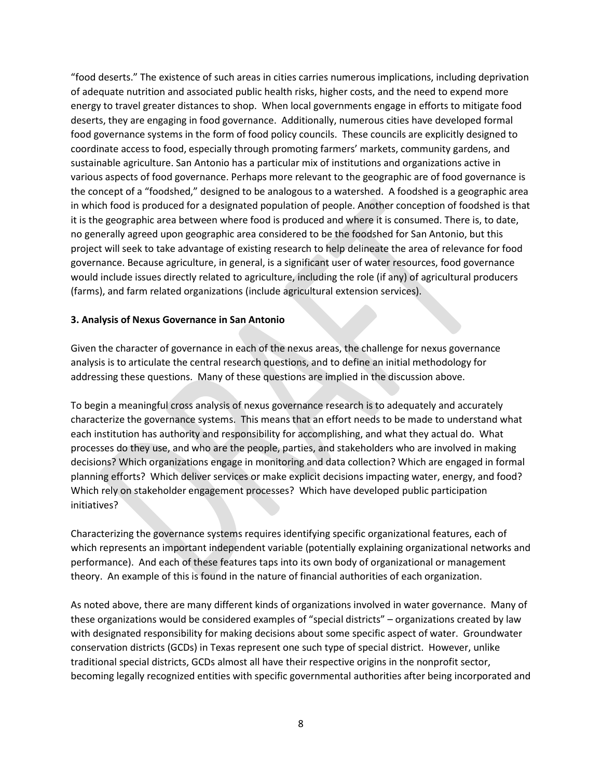"food deserts." The existence of such areas in cities carries numerous implications, including deprivation of adequate nutrition and associated public health risks, higher costs, and the need to expend more energy to travel greater distances to shop. When local governments engage in efforts to mitigate food deserts, they are engaging in food governance. Additionally, numerous cities have developed formal food governance systems in the form of food policy councils. These councils are explicitly designed to coordinate access to food, especially through promoting farmers' markets, community gardens, and sustainable agriculture. San Antonio has a particular mix of institutions and organizations active in various aspects of food governance. Perhaps more relevant to the geographic are of food governance is the concept of a "foodshed," designed to be analogous to a watershed. A foodshed is a geographic area in which food is produced for a designated population of people. Another conception of foodshed is that it is the geographic area between where food is produced and where it is consumed. There is, to date, no generally agreed upon geographic area considered to be the foodshed for San Antonio, but this project will seek to take advantage of existing research to help delineate the area of relevance for food governance. Because agriculture, in general, is a significant user of water resources, food governance would include issues directly related to agriculture, including the role (if any) of agricultural producers (farms), and farm related organizations (include agricultural extension services).

## **3. Analysis of Nexus Governance in San Antonio**

Given the character of governance in each of the nexus areas, the challenge for nexus governance analysis is to articulate the central research questions, and to define an initial methodology for addressing these questions. Many of these questions are implied in the discussion above.

To begin a meaningful cross analysis of nexus governance research is to adequately and accurately characterize the governance systems. This means that an effort needs to be made to understand what each institution has authority and responsibility for accomplishing, and what they actual do. What processes do they use, and who are the people, parties, and stakeholders who are involved in making decisions? Which organizations engage in monitoring and data collection? Which are engaged in formal planning efforts? Which deliver services or make explicit decisions impacting water, energy, and food? Which rely on stakeholder engagement processes? Which have developed public participation initiatives?

Characterizing the governance systems requires identifying specific organizational features, each of which represents an important independent variable (potentially explaining organizational networks and performance). And each of these features taps into its own body of organizational or management theory. An example of this is found in the nature of financial authorities of each organization.

As noted above, there are many different kinds of organizations involved in water governance. Many of these organizations would be considered examples of "special districts" – organizations created by law with designated responsibility for making decisions about some specific aspect of water. Groundwater conservation districts (GCDs) in Texas represent one such type of special district. However, unlike traditional special districts, GCDs almost all have their respective origins in the nonprofit sector, becoming legally recognized entities with specific governmental authorities after being incorporated and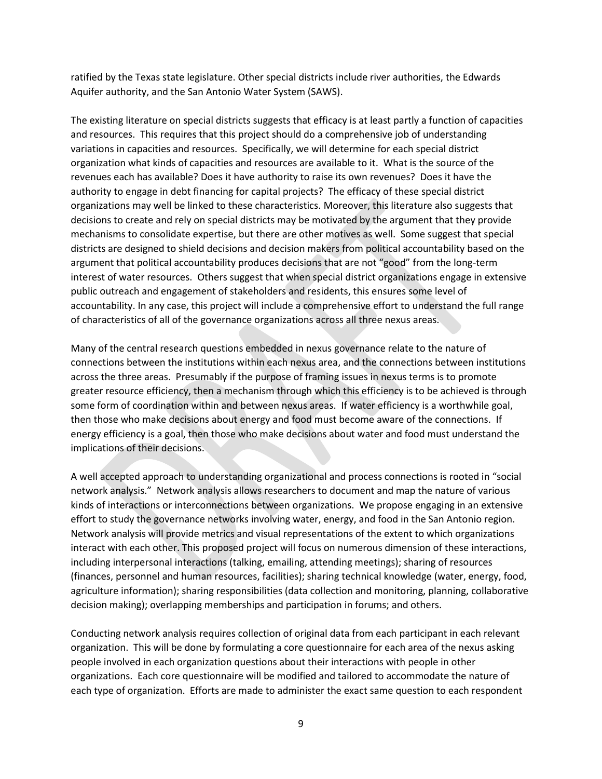ratified by the Texas state legislature. Other special districts include river authorities, the Edwards Aquifer authority, and the San Antonio Water System (SAWS).

The existing literature on special districts suggests that efficacy is at least partly a function of capacities and resources. This requires that this project should do a comprehensive job of understanding variations in capacities and resources. Specifically, we will determine for each special district organization what kinds of capacities and resources are available to it. What is the source of the revenues each has available? Does it have authority to raise its own revenues? Does it have the authority to engage in debt financing for capital projects? The efficacy of these special district organizations may well be linked to these characteristics. Moreover, this literature also suggests that decisions to create and rely on special districts may be motivated by the argument that they provide mechanisms to consolidate expertise, but there are other motives as well. Some suggest that special districts are designed to shield decisions and decision makers from political accountability based on the argument that political accountability produces decisions that are not "good" from the long-term interest of water resources. Others suggest that when special district organizations engage in extensive public outreach and engagement of stakeholders and residents, this ensures some level of accountability. In any case, this project will include a comprehensive effort to understand the full range of characteristics of all of the governance organizations across all three nexus areas.

Many of the central research questions embedded in nexus governance relate to the nature of connections between the institutions within each nexus area, and the connections between institutions across the three areas. Presumably if the purpose of framing issues in nexus terms is to promote greater resource efficiency, then a mechanism through which this efficiency is to be achieved is through some form of coordination within and between nexus areas. If water efficiency is a worthwhile goal, then those who make decisions about energy and food must become aware of the connections. If energy efficiency is a goal, then those who make decisions about water and food must understand the implications of their decisions.

A well accepted approach to understanding organizational and process connections is rooted in "social network analysis." Network analysis allows researchers to document and map the nature of various kinds of interactions or interconnections between organizations. We propose engaging in an extensive effort to study the governance networks involving water, energy, and food in the San Antonio region. Network analysis will provide metrics and visual representations of the extent to which organizations interact with each other. This proposed project will focus on numerous dimension of these interactions, including interpersonal interactions (talking, emailing, attending meetings); sharing of resources (finances, personnel and human resources, facilities); sharing technical knowledge (water, energy, food, agriculture information); sharing responsibilities (data collection and monitoring, planning, collaborative decision making); overlapping memberships and participation in forums; and others.

Conducting network analysis requires collection of original data from each participant in each relevant organization. This will be done by formulating a core questionnaire for each area of the nexus asking people involved in each organization questions about their interactions with people in other organizations. Each core questionnaire will be modified and tailored to accommodate the nature of each type of organization. Efforts are made to administer the exact same question to each respondent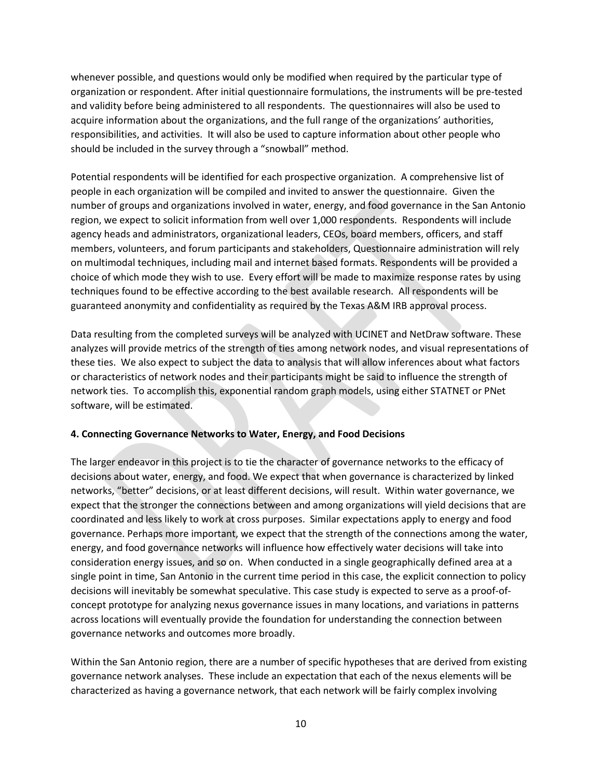whenever possible, and questions would only be modified when required by the particular type of organization or respondent. After initial questionnaire formulations, the instruments will be pre-tested and validity before being administered to all respondents. The questionnaires will also be used to acquire information about the organizations, and the full range of the organizations' authorities, responsibilities, and activities. It will also be used to capture information about other people who should be included in the survey through a "snowball" method.

Potential respondents will be identified for each prospective organization. A comprehensive list of people in each organization will be compiled and invited to answer the questionnaire. Given the number of groups and organizations involved in water, energy, and food governance in the San Antonio region, we expect to solicit information from well over 1,000 respondents. Respondents will include agency heads and administrators, organizational leaders, CEOs, board members, officers, and staff members, volunteers, and forum participants and stakeholders, Questionnaire administration will rely on multimodal techniques, including mail and internet based formats. Respondents will be provided a choice of which mode they wish to use. Every effort will be made to maximize response rates by using techniques found to be effective according to the best available research. All respondents will be guaranteed anonymity and confidentiality as required by the Texas A&M IRB approval process.

Data resulting from the completed surveys will be analyzed with UCINET and NetDraw software. These analyzes will provide metrics of the strength of ties among network nodes, and visual representations of these ties. We also expect to subject the data to analysis that will allow inferences about what factors or characteristics of network nodes and their participants might be said to influence the strength of network ties. To accomplish this, exponential random graph models, using either STATNET or PNet software, will be estimated.

## **4. Connecting Governance Networks to Water, Energy, and Food Decisions**

The larger endeavor in this project is to tie the character of governance networks to the efficacy of decisions about water, energy, and food. We expect that when governance is characterized by linked networks, "better" decisions, or at least different decisions, will result. Within water governance, we expect that the stronger the connections between and among organizations will yield decisions that are coordinated and less likely to work at cross purposes. Similar expectations apply to energy and food governance. Perhaps more important, we expect that the strength of the connections among the water, energy, and food governance networks will influence how effectively water decisions will take into consideration energy issues, and so on. When conducted in a single geographically defined area at a single point in time, San Antonio in the current time period in this case, the explicit connection to policy decisions will inevitably be somewhat speculative. This case study is expected to serve as a proof-ofconcept prototype for analyzing nexus governance issues in many locations, and variations in patterns across locations will eventually provide the foundation for understanding the connection between governance networks and outcomes more broadly.

Within the San Antonio region, there are a number of specific hypotheses that are derived from existing governance network analyses. These include an expectation that each of the nexus elements will be characterized as having a governance network, that each network will be fairly complex involving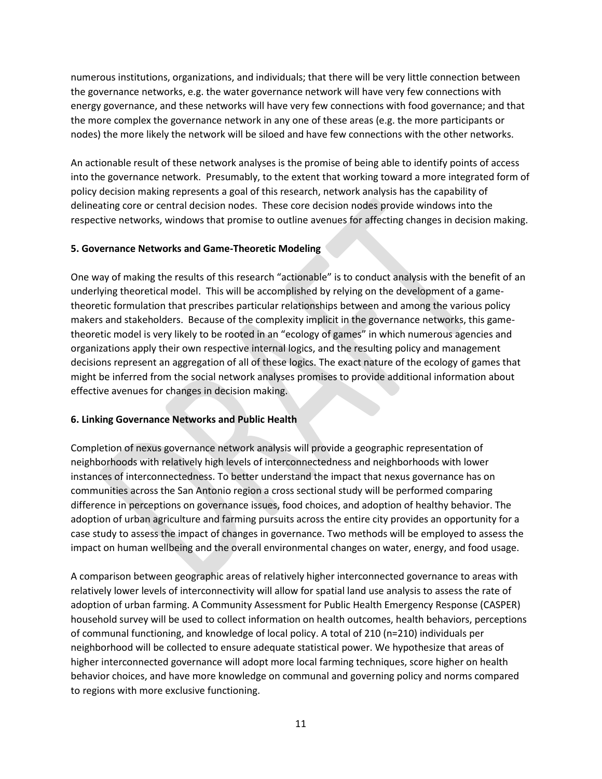numerous institutions, organizations, and individuals; that there will be very little connection between the governance networks, e.g. the water governance network will have very few connections with energy governance, and these networks will have very few connections with food governance; and that the more complex the governance network in any one of these areas (e.g. the more participants or nodes) the more likely the network will be siloed and have few connections with the other networks.

An actionable result of these network analyses is the promise of being able to identify points of access into the governance network. Presumably, to the extent that working toward a more integrated form of policy decision making represents a goal of this research, network analysis has the capability of delineating core or central decision nodes. These core decision nodes provide windows into the respective networks, windows that promise to outline avenues for affecting changes in decision making.

# **5. Governance Networks and Game-Theoretic Modeling**

One way of making the results of this research "actionable" is to conduct analysis with the benefit of an underlying theoretical model. This will be accomplished by relying on the development of a gametheoretic formulation that prescribes particular relationships between and among the various policy makers and stakeholders. Because of the complexity implicit in the governance networks, this gametheoretic model is very likely to be rooted in an "ecology of games" in which numerous agencies and organizations apply their own respective internal logics, and the resulting policy and management decisions represent an aggregation of all of these logics. The exact nature of the ecology of games that might be inferred from the social network analyses promises to provide additional information about effective avenues for changes in decision making.

# **6. Linking Governance Networks and Public Health**

Completion of nexus governance network analysis will provide a geographic representation of neighborhoods with relatively high levels of interconnectedness and neighborhoods with lower instances of interconnectedness. To better understand the impact that nexus governance has on communities across the San Antonio region a cross sectional study will be performed comparing difference in perceptions on governance issues, food choices, and adoption of healthy behavior. The adoption of urban agriculture and farming pursuits across the entire city provides an opportunity for a case study to assess the impact of changes in governance. Two methods will be employed to assess the impact on human wellbeing and the overall environmental changes on water, energy, and food usage.

A comparison between geographic areas of relatively higher interconnected governance to areas with relatively lower levels of interconnectivity will allow for spatial land use analysis to assess the rate of adoption of urban farming. A Community Assessment for Public Health Emergency Response (CASPER) household survey will be used to collect information on health outcomes, health behaviors, perceptions of communal functioning, and knowledge of local policy. A total of 210 (n=210) individuals per neighborhood will be collected to ensure adequate statistical power. We hypothesize that areas of higher interconnected governance will adopt more local farming techniques, score higher on health behavior choices, and have more knowledge on communal and governing policy and norms compared to regions with more exclusive functioning.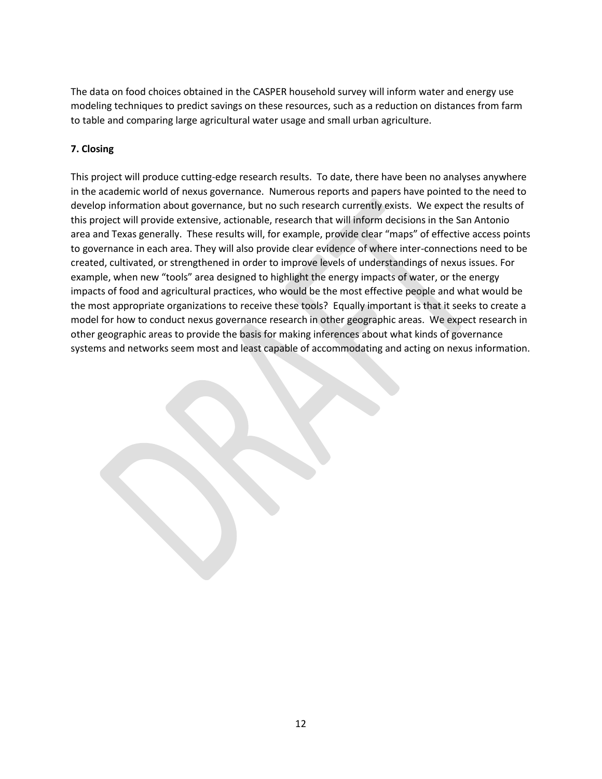The data on food choices obtained in the CASPER household survey will inform water and energy use modeling techniques to predict savings on these resources, such as a reduction on distances from farm to table and comparing large agricultural water usage and small urban agriculture.

# **7. Closing**

This project will produce cutting-edge research results. To date, there have been no analyses anywhere in the academic world of nexus governance. Numerous reports and papers have pointed to the need to develop information about governance, but no such research currently exists. We expect the results of this project will provide extensive, actionable, research that will inform decisions in the San Antonio area and Texas generally. These results will, for example, provide clear "maps" of effective access points to governance in each area. They will also provide clear evidence of where inter-connections need to be created, cultivated, or strengthened in order to improve levels of understandings of nexus issues. For example, when new "tools" area designed to highlight the energy impacts of water, or the energy impacts of food and agricultural practices, who would be the most effective people and what would be the most appropriate organizations to receive these tools? Equally important is that it seeks to create a model for how to conduct nexus governance research in other geographic areas. We expect research in other geographic areas to provide the basis for making inferences about what kinds of governance systems and networks seem most and least capable of accommodating and acting on nexus information.